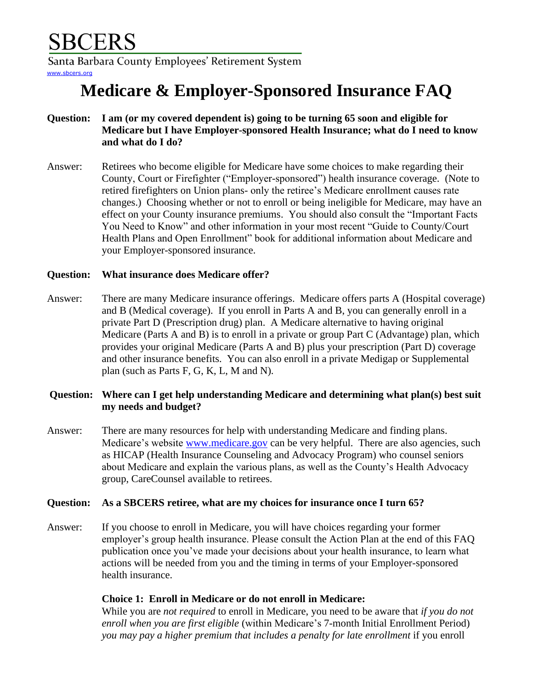Santa Barbara County Employees' Retirement System [www.sbcers.org](http://www.sbcers.org/)

# **Medicare & Employer-Sponsored Insurance FAQ**

- **Question: I am (or my covered dependent is) going to be turning 65 soon and eligible for Medicare but I have Employer-sponsored Health Insurance; what do I need to know and what do I do?**
- Answer: Retirees who become eligible for Medicare have some choices to make regarding their County, Court or Firefighter ("Employer-sponsored") health insurance coverage. (Note to retired firefighters on Union plans- only the retiree's Medicare enrollment causes rate changes.) Choosing whether or not to enroll or being ineligible for Medicare, may have an effect on your County insurance premiums. You should also consult the "Important Facts You Need to Know" and other information in your most recent "Guide to County/Court Health Plans and Open Enrollment" book for additional information about Medicare and your Employer-sponsored insurance.

## **Question: What insurance does Medicare offer?**

Answer: There are many Medicare insurance offerings. Medicare offers parts A (Hospital coverage) and B (Medical coverage). If you enroll in Parts A and B, you can generally enroll in a private Part D (Prescription drug) plan. A Medicare alternative to having original Medicare (Parts A and B) is to enroll in a private or group Part C (Advantage) plan, which provides your original Medicare (Parts A and B) plus your prescription (Part D) coverage and other insurance benefits. You can also enroll in a private Medigap or Supplemental plan (such as Parts F, G, K, L, M and N).

## **Question: Where can I get help understanding Medicare and determining what plan(s) best suit my needs and budget?**

Answer: There are many resources for help with understanding Medicare and finding plans. Medicare's website [www.medicare.gov](http://www.medicare.gov/) can be very helpful. There are also agencies, such as HICAP (Health Insurance Counseling and Advocacy Program) who counsel seniors about Medicare and explain the various plans, as well as the County's Health Advocacy group, CareCounsel available to retirees.

## **Question: As a SBCERS retiree, what are my choices for insurance once I turn 65?**

Answer: If you choose to enroll in Medicare, you will have choices regarding your former employer's group health insurance. Please consult the Action Plan at the end of this FAQ publication once you've made your decisions about your health insurance, to learn what actions will be needed from you and the timing in terms of your Employer-sponsored health insurance.

## **Choice 1: Enroll in Medicare or do not enroll in Medicare:**

While you are *not required* to enroll in Medicare, you need to be aware that *if you do not enroll when you are first eligible* (within Medicare's 7-month Initial Enrollment Period) *you may pay a higher premium that includes a penalty for late enrollment* if you enroll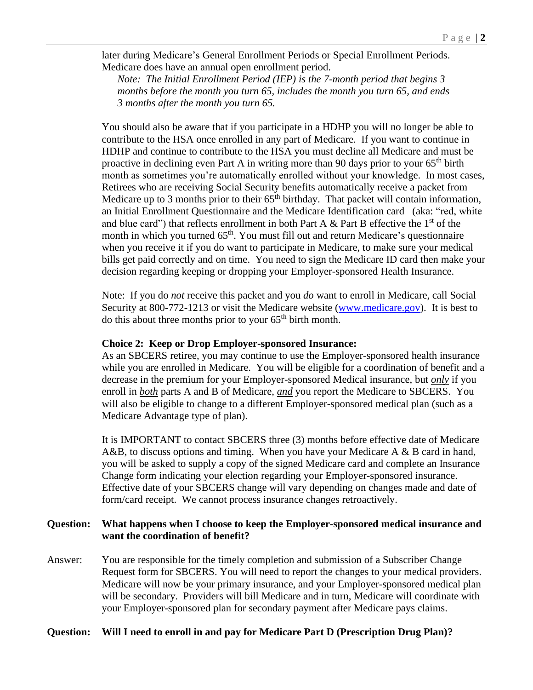later during Medicare's General Enrollment Periods or Special Enrollment Periods. Medicare does have an annual open enrollment period.

*Note: The Initial Enrollment Period (IEP) is the 7-month period that begins 3 months before the month you turn 65, includes the month you turn 65, and ends 3 months after the month you turn 65.*

You should also be aware that if you participate in a HDHP you will no longer be able to contribute to the HSA once enrolled in any part of Medicare. If you want to continue in HDHP and continue to contribute to the HSA you must decline all Medicare and must be proactive in declining even Part A in writing more than 90 days prior to your  $65<sup>th</sup>$  birth month as sometimes you're automatically enrolled without your knowledge. In most cases, Retirees who are receiving Social Security benefits automatically receive a packet from Medicare up to 3 months prior to their  $65<sup>th</sup>$  birthday. That packet will contain information, an Initial Enrollment Questionnaire and the Medicare Identification card (aka: "red, white and blue card") that reflects enrollment in both Part A & Part B effective the  $1<sup>st</sup>$  of the month in which you turned 65<sup>th</sup>. You must fill out and return Medicare's questionnaire when you receive it if you do want to participate in Medicare, to make sure your medical bills get paid correctly and on time. You need to sign the Medicare ID card then make your decision regarding keeping or dropping your Employer-sponsored Health Insurance.

Note: If you do *not* receive this packet and you *do* want to enroll in Medicare, call Social Security at 800-772-1213 or visit the Medicare website [\(www.medicare.gov\)](http://www.medicare.gov/). It is best to do this about three months prior to your  $65<sup>th</sup>$  birth month.

#### **Choice 2: Keep or Drop Employer-sponsored Insurance:**

As an SBCERS retiree, you may continue to use the Employer-sponsored health insurance while you are enrolled in Medicare. You will be eligible for a coordination of benefit and a decrease in the premium for your Employer-sponsored Medical insurance, but *only* if you enroll in *both* parts A and B of Medicare, *and* you report the Medicare to SBCERS. You will also be eligible to change to a different Employer-sponsored medical plan (such as a Medicare Advantage type of plan).

It is IMPORTANT to contact SBCERS three (3) months before effective date of Medicare A&B, to discuss options and timing. When you have your Medicare A & B card in hand, you will be asked to supply a copy of the signed Medicare card and complete an Insurance Change form indicating your election regarding your Employer-sponsored insurance. Effective date of your SBCERS change will vary depending on changes made and date of form/card receipt. We cannot process insurance changes retroactively.

#### **Question: What happens when I choose to keep the Employer-sponsored medical insurance and want the coordination of benefit?**

Answer: You are responsible for the timely completion and submission of a Subscriber Change Request form for SBCERS. You will need to report the changes to your medical providers. Medicare will now be your primary insurance, and your Employer-sponsored medical plan will be secondary. Providers will bill Medicare and in turn, Medicare will coordinate with your Employer-sponsored plan for secondary payment after Medicare pays claims.

#### **Question: Will I need to enroll in and pay for Medicare Part D (Prescription Drug Plan)?**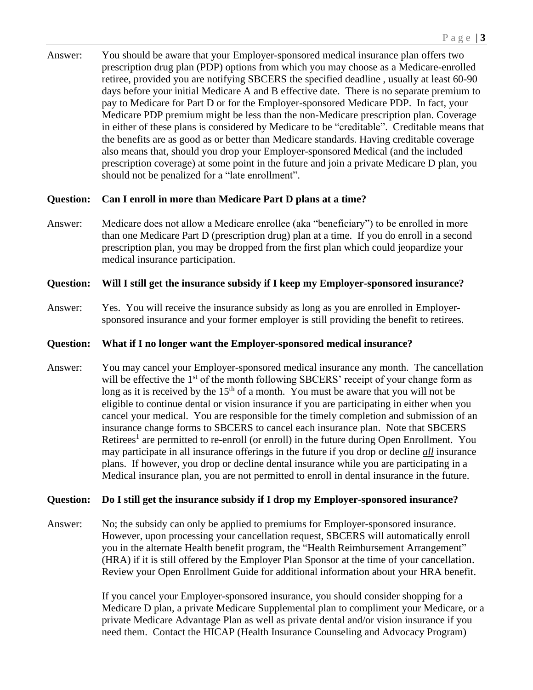Answer: You should be aware that your Employer-sponsored medical insurance plan offers two prescription drug plan (PDP) options from which you may choose as a Medicare-enrolled retiree, provided you are notifying SBCERS the specified deadline , usually at least 60-90 days before your initial Medicare A and B effective date. There is no separate premium to pay to Medicare for Part D or for the Employer-sponsored Medicare PDP. In fact, your Medicare PDP premium might be less than the non-Medicare prescription plan. Coverage in either of these plans is considered by Medicare to be "creditable". Creditable means that the benefits are as good as or better than Medicare standards. Having creditable coverage also means that, should you drop your Employer-sponsored Medical (and the included prescription coverage) at some point in the future and join a private Medicare D plan, you should not be penalized for a "late enrollment".

### **Question: Can I enroll in more than Medicare Part D plans at a time?**

Answer: Medicare does not allow a Medicare enrollee (aka "beneficiary") to be enrolled in more than one Medicare Part D (prescription drug) plan at a time. If you do enroll in a second prescription plan, you may be dropped from the first plan which could jeopardize your medical insurance participation.

### **Question: Will I still get the insurance subsidy if I keep my Employer-sponsored insurance?**

Answer: Yes. You will receive the insurance subsidy as long as you are enrolled in Employersponsored insurance and your former employer is still providing the benefit to retirees.

#### **Question: What if I no longer want the Employer-sponsored medical insurance?**

Answer: You may cancel your Employer-sponsored medical insurance any month. The cancellation will be effective the 1<sup>st</sup> of the month following SBCERS' receipt of your change form as long as it is received by the 15<sup>th</sup> of a month. You must be aware that you will not be eligible to continue dental or vision insurance if you are participating in either when you cancel your medical. You are responsible for the timely completion and submission of an insurance change forms to SBCERS to cancel each insurance plan. Note that SBCERS Retirees<sup>1</sup> are permitted to re-enroll (or enroll) in the future during Open Enrollment. You may participate in all insurance offerings in the future if you drop or decline *all* insurance plans. If however, you drop or decline dental insurance while you are participating in a Medical insurance plan, you are not permitted to enroll in dental insurance in the future.

#### **Question: Do I still get the insurance subsidy if I drop my Employer-sponsored insurance?**

Answer: No; the subsidy can only be applied to premiums for Employer-sponsored insurance. However, upon processing your cancellation request, SBCERS will automatically enroll you in the alternate Health benefit program, the "Health Reimbursement Arrangement" (HRA) if it is still offered by the Employer Plan Sponsor at the time of your cancellation. Review your Open Enrollment Guide for additional information about your HRA benefit.

> If you cancel your Employer-sponsored insurance, you should consider shopping for a Medicare D plan, a private Medicare Supplemental plan to compliment your Medicare, or a private Medicare Advantage Plan as well as private dental and/or vision insurance if you need them. Contact the HICAP (Health Insurance Counseling and Advocacy Program)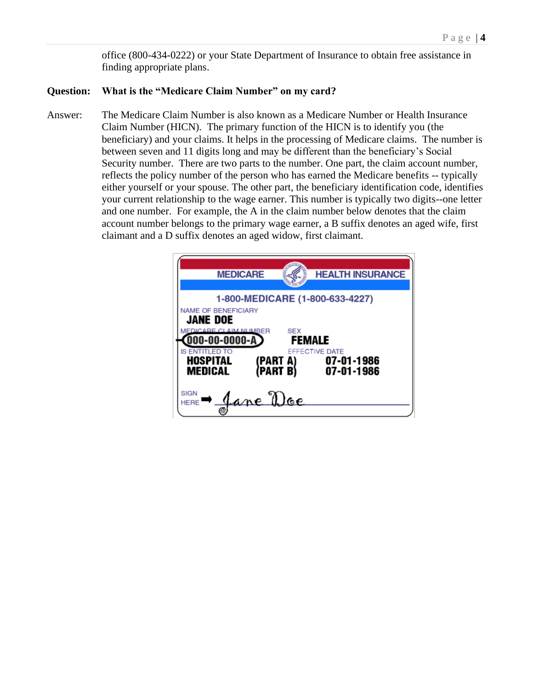office (800-434-0222) or your State Department of Insurance to obtain free assistance in finding appropriate plans.

#### **Question: What is the "Medicare Claim Number" on my card?**

Answer: The Medicare Claim Number is also known as a Medicare Number or Health Insurance Claim Number (HICN). The primary function of the HICN is to identify you (the beneficiary) and your claims. It helps in the processing of Medicare claims. The number is between seven and 11 digits long and may be different than the beneficiary's Social Security number. There are two parts to the number. One part, the claim account number, reflects the policy number of the person who has earned the Medicare benefits -- typically either yourself or your spouse. The other part, the beneficiary identification code, identifies your current relationship to the wage earner. This number is typically two digits--one letter and one number. For example, the A in the claim number below denotes that the claim account number belongs to the primary wage earner, a B suffix denotes an aged wife, first claimant and a D suffix denotes an aged widow, first claimant.

| <b>MEDICARE</b>                                                                                                                                         |                     | <b>HEALTH INSURANCE</b>                    |
|---------------------------------------------------------------------------------------------------------------------------------------------------------|---------------------|--------------------------------------------|
| 1-800-MEDICARE (1-800-633-4227)<br><b>NAME OF BENEFICIARY</b><br><b>JANE DOE</b><br>MEDICARE CLAIM NUMBER<br>SEX<br>$[000-00-0000- A]$<br><b>FEMALE</b> |                     |                                            |
| <b>IS ENTITLED TO</b><br><b>HOSPITAL</b><br><b>MEDICAL</b>                                                                                              | (PART A)<br>PART B) | EFFECTIVE DATE<br>07-01-1986<br>07-01-1986 |
| <b>SIGN</b><br>Jane Doe<br><b>HERE</b>                                                                                                                  |                     |                                            |